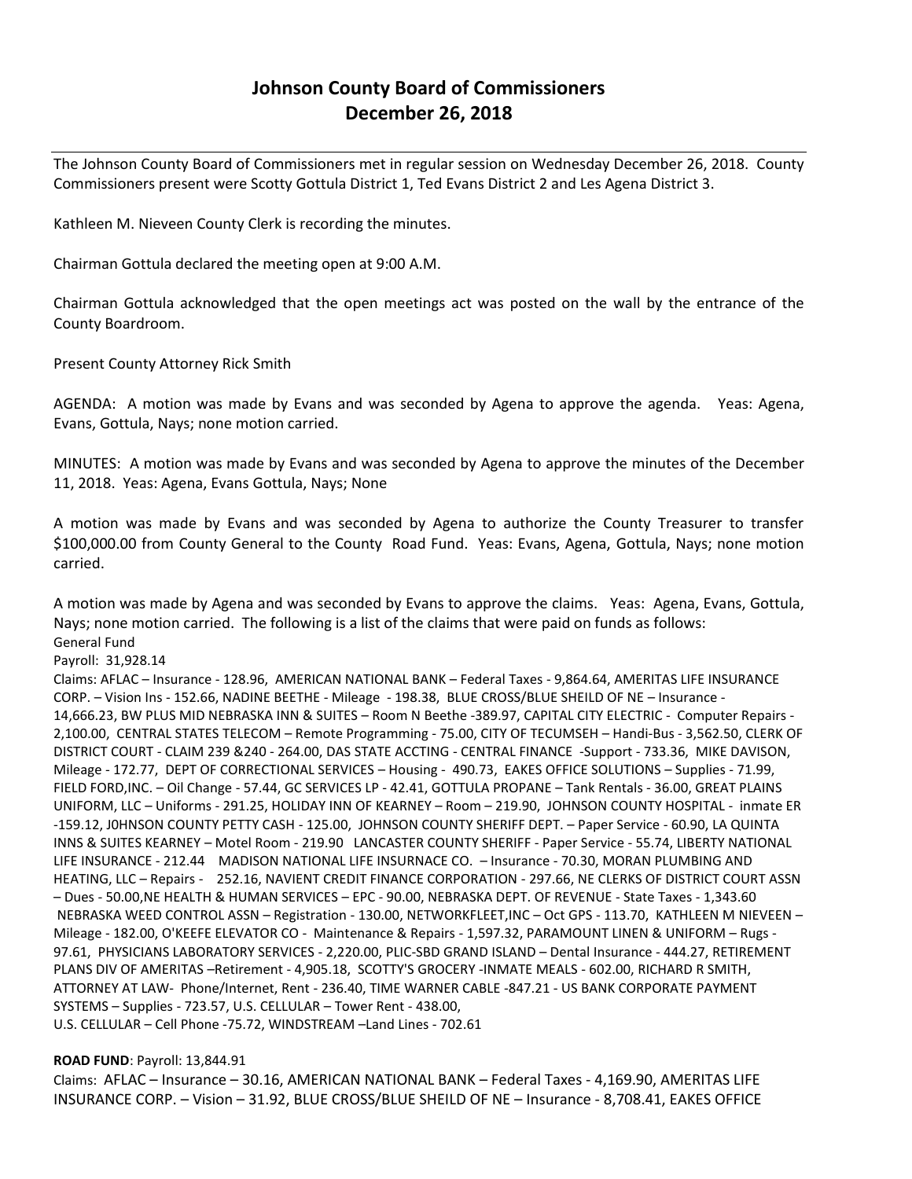## **Johnson County Board of Commissioners December 26, 2018**

The Johnson County Board of Commissioners met in regular session on Wednesday December 26, 2018. County Commissioners present were Scotty Gottula District 1, Ted Evans District 2 and Les Agena District 3.

Kathleen M. Nieveen County Clerk is recording the minutes.

Chairman Gottula declared the meeting open at 9:00 A.M.

Chairman Gottula acknowledged that the open meetings act was posted on the wall by the entrance of the County Boardroom.

Present County Attorney Rick Smith

AGENDA: A motion was made by Evans and was seconded by Agena to approve the agenda. Yeas: Agena, Evans, Gottula, Nays; none motion carried.

MINUTES: A motion was made by Evans and was seconded by Agena to approve the minutes of the December 11, 2018. Yeas: Agena, Evans Gottula, Nays; None

A motion was made by Evans and was seconded by Agena to authorize the County Treasurer to transfer \$100,000.00 from County General to the County Road Fund. Yeas: Evans, Agena, Gottula, Nays; none motion carried.

A motion was made by Agena and was seconded by Evans to approve the claims. Yeas: Agena, Evans, Gottula, Nays; none motion carried. The following is a list of the claims that were paid on funds as follows: General Fund

Payroll: 31,928.14

Claims: AFLAC – Insurance - 128.96, AMERICAN NATIONAL BANK – Federal Taxes - 9,864.64, AMERITAS LIFE INSURANCE CORP. – Vision Ins - 152.66, NADINE BEETHE - Mileage - 198.38, BLUE CROSS/BLUE SHEILD OF NE – Insurance - 14,666.23, BW PLUS MID NEBRASKA INN & SUITES – Room N Beethe -389.97, CAPITAL CITY ELECTRIC - Computer Repairs - 2,100.00, CENTRAL STATES TELECOM – Remote Programming - 75.00, CITY OF TECUMSEH – Handi-Bus - 3,562.50, CLERK OF DISTRICT COURT - CLAIM 239 &240 - 264.00, DAS STATE ACCTING - CENTRAL FINANCE -Support - 733.36, MIKE DAVISON, Mileage - 172.77, DEPT OF CORRECTIONAL SERVICES – Housing - 490.73, EAKES OFFICE SOLUTIONS – Supplies - 71.99, FIELD FORD,INC. – Oil Change - 57.44, GC SERVICES LP - 42.41, GOTTULA PROPANE – Tank Rentals - 36.00, GREAT PLAINS UNIFORM, LLC – Uniforms - 291.25, HOLIDAY INN OF KEARNEY – Room – 219.90, JOHNSON COUNTY HOSPITAL - inmate ER -159.12, J0HNSON COUNTY PETTY CASH - 125.00, JOHNSON COUNTY SHERIFF DEPT. – Paper Service - 60.90, LA QUINTA INNS & SUITES KEARNEY – Motel Room - 219.90 LANCASTER COUNTY SHERIFF - Paper Service - 55.74, LIBERTY NATIONAL LIFE INSURANCE - 212.44 MADISON NATIONAL LIFE INSURNACE CO. – Insurance - 70.30, MORAN PLUMBING AND HEATING, LLC – Repairs - 252.16, NAVIENT CREDIT FINANCE CORPORATION - 297.66, NE CLERKS OF DISTRICT COURT ASSN – Dues - 50.00,NE HEALTH & HUMAN SERVICES – EPC - 90.00, NEBRASKA DEPT. OF REVENUE - State Taxes - 1,343.60 NEBRASKA WEED CONTROL ASSN – Registration - 130.00, NETWORKFLEET,INC – Oct GPS - 113.70, KATHLEEN M NIEVEEN – Mileage - 182.00, O'KEEFE ELEVATOR CO - Maintenance & Repairs - 1,597.32, PARAMOUNT LINEN & UNIFORM – Rugs - 97.61, PHYSICIANS LABORATORY SERVICES - 2,220.00, PLIC-SBD GRAND ISLAND – Dental Insurance - 444.27, RETIREMENT PLANS DIV OF AMERITAS –Retirement - 4,905.18, SCOTTY'S GROCERY -INMATE MEALS - 602.00, RICHARD R SMITH, ATTORNEY AT LAW- Phone/Internet, Rent - 236.40, TIME WARNER CABLE -847.21 - US BANK CORPORATE PAYMENT SYSTEMS – Supplies - 723.57, U.S. CELLULAR – Tower Rent - 438.00, U.S. CELLULAR – Cell Phone -75.72, WINDSTREAM –Land Lines - 702.61

**ROAD FUND**: Payroll: 13,844.91

Claims: AFLAC – Insurance – 30.16, AMERICAN NATIONAL BANK – Federal Taxes - 4,169.90, AMERITAS LIFE INSURANCE CORP. – Vision – 31.92, BLUE CROSS/BLUE SHEILD OF NE – Insurance - 8,708.41, EAKES OFFICE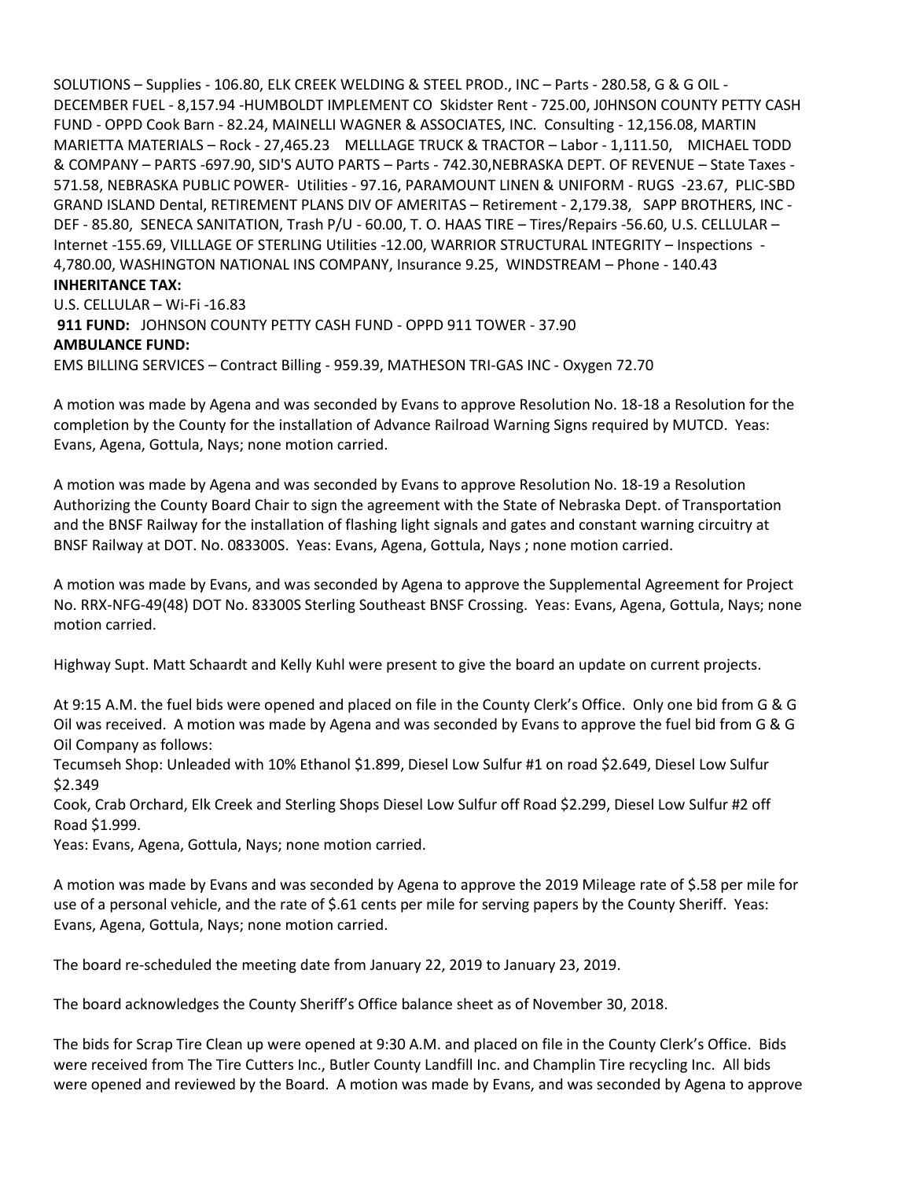SOLUTIONS – Supplies - 106.80, ELK CREEK WELDING & STEEL PROD., INC – Parts - 280.58, G & G OIL - DECEMBER FUEL - 8,157.94 -HUMBOLDT IMPLEMENT CO Skidster Rent - 725.00, J0HNSON COUNTY PETTY CASH FUND - OPPD Cook Barn - 82.24, MAINELLI WAGNER & ASSOCIATES, INC. Consulting - 12,156.08, MARTIN MARIETTA MATERIALS – Rock - 27,465.23 MELLLAGE TRUCK & TRACTOR – Labor - 1,111.50, MICHAEL TODD & COMPANY – PARTS -697.90, SID'S AUTO PARTS – Parts - 742.30,NEBRASKA DEPT. OF REVENUE – State Taxes - 571.58, NEBRASKA PUBLIC POWER- Utilities - 97.16, PARAMOUNT LINEN & UNIFORM - RUGS -23.67, PLIC-SBD GRAND ISLAND Dental, RETIREMENT PLANS DIV OF AMERITAS – Retirement - 2,179.38, SAPP BROTHERS, INC - DEF - 85.80, SENECA SANITATION, Trash P/U - 60.00, T. O. HAAS TIRE – Tires/Repairs -56.60, U.S. CELLULAR – Internet -155.69, VILLLAGE OF STERLING Utilities -12.00, WARRIOR STRUCTURAL INTEGRITY – Inspections - 4,780.00, WASHINGTON NATIONAL INS COMPANY, Insurance 9.25, WINDSTREAM – Phone - 140.43 **INHERITANCE TAX:** 

U.S. CELLULAR – Wi-Fi -16.83 **911 FUND:** JOHNSON COUNTY PETTY CASH FUND - OPPD 911 TOWER - 37.90 **AMBULANCE FUND:** EMS BILLING SERVICES – Contract Billing - 959.39, MATHESON TRI-GAS INC - Oxygen 72.70

A motion was made by Agena and was seconded by Evans to approve Resolution No. 18-18 a Resolution for the completion by the County for the installation of Advance Railroad Warning Signs required by MUTCD. Yeas: Evans, Agena, Gottula, Nays; none motion carried.

A motion was made by Agena and was seconded by Evans to approve Resolution No. 18-19 a Resolution Authorizing the County Board Chair to sign the agreement with the State of Nebraska Dept. of Transportation and the BNSF Railway for the installation of flashing light signals and gates and constant warning circuitry at BNSF Railway at DOT. No. 083300S. Yeas: Evans, Agena, Gottula, Nays ; none motion carried.

A motion was made by Evans, and was seconded by Agena to approve the Supplemental Agreement for Project No. RRX-NFG-49(48) DOT No. 83300S Sterling Southeast BNSF Crossing. Yeas: Evans, Agena, Gottula, Nays; none motion carried.

Highway Supt. Matt Schaardt and Kelly Kuhl were present to give the board an update on current projects.

At 9:15 A.M. the fuel bids were opened and placed on file in the County Clerk's Office. Only one bid from G & G Oil was received. A motion was made by Agena and was seconded by Evans to approve the fuel bid from G & G Oil Company as follows:

Tecumseh Shop: Unleaded with 10% Ethanol \$1.899, Diesel Low Sulfur #1 on road \$2.649, Diesel Low Sulfur \$2.349

Cook, Crab Orchard, Elk Creek and Sterling Shops Diesel Low Sulfur off Road \$2.299, Diesel Low Sulfur #2 off Road \$1.999.

Yeas: Evans, Agena, Gottula, Nays; none motion carried.

A motion was made by Evans and was seconded by Agena to approve the 2019 Mileage rate of \$.58 per mile for use of a personal vehicle, and the rate of \$.61 cents per mile for serving papers by the County Sheriff. Yeas: Evans, Agena, Gottula, Nays; none motion carried.

The board re-scheduled the meeting date from January 22, 2019 to January 23, 2019.

The board acknowledges the County Sheriff's Office balance sheet as of November 30, 2018.

The bids for Scrap Tire Clean up were opened at 9:30 A.M. and placed on file in the County Clerk's Office. Bids were received from The Tire Cutters Inc., Butler County Landfill Inc. and Champlin Tire recycling Inc. All bids were opened and reviewed by the Board. A motion was made by Evans, and was seconded by Agena to approve